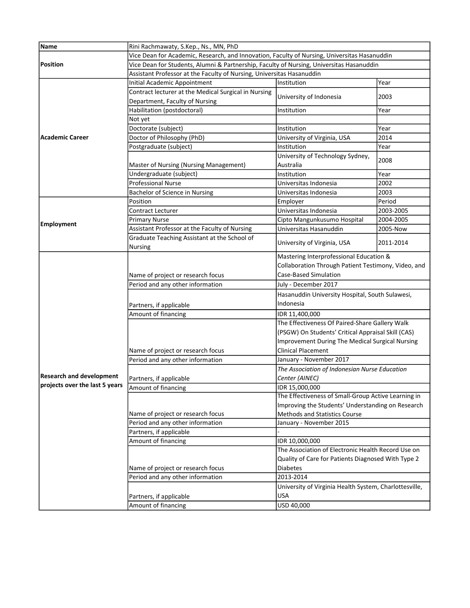| Vice Dean for Academic, Research, and Innovation, Faculty of Nursing, Universitas Hasanuddin<br><b>Position</b><br>Vice Dean for Students, Alumni & Partnership, Faculty of Nursing, Universitas Hasanuddin<br>Assistant Professor at the Faculty of Nursing, Universitas Hasanuddin<br>Year<br>Initial Academic Appointment<br>Institution<br>Contract lecturer at the Medical Surgical in Nursing<br>University of Indonesia<br>2003<br>Department, Faculty of Nursing<br>Habilitation (postdoctoral)<br>Institution<br>Year<br>Not yet<br>Doctorate (subject)<br>Institution<br>Year<br>Doctor of Philosophy (PhD)<br>University of Virginia, USA<br>2014<br>Postgraduate (subject)<br>Institution<br>Year<br>University of Technology Sydney,<br>2008<br>Australia<br>Master of Nursing (Nursing Management)<br>Undergraduate (subject)<br>Year<br>Institution<br><b>Professional Nurse</b><br>2002<br>Universitas Indonesia<br><b>Bachelor of Science in Nursing</b><br>2003<br>Universitas Indonesia<br>Period<br>Position<br>Employer<br>Contract Lecturer<br>Universitas Indonesia<br>2003-2005<br><b>Primary Nurse</b><br>Cipto Mangunkusumo Hospital<br>2004-2005<br><b>Employment</b><br>Assistant Professor at the Faculty of Nursing<br>Universitas Hasanuddin<br>2005-Now<br>Graduate Teaching Assistant at the School of<br>University of Virginia, USA<br>2011-2014<br><b>Nursing</b><br>Mastering Interprofessional Education &<br>Collaboration Through Patient Testimony, Video, and<br>Case-Based Simulation<br>Name of project or research focus<br>Period and any other information<br>July - December 2017<br>Hasanuddin University Hospital, South Sulawesi,<br>Indonesia<br>Partners, if applicable<br>Amount of financing<br>IDR 11,400,000<br>The Effectiveness Of Paired-Share Gallery Walk<br>(PSGW) On Students' Critical Appraisal Skill (CAS)<br>Improvement During The Medical Surgical Nursing<br><b>Clinical Placement</b><br>Name of project or research focus<br>Period and any other information<br>January - November 2017<br>The Association of Indonesian Nurse Education<br>Center (AINEC)<br>Partners, if applicable<br>IDR 15,000,000<br>Amount of financing<br>The Effectiveness of Small-Group Active Learning in<br>Improving the Students' Understanding on Research<br>Name of project or research focus<br><b>Methods and Statistics Course</b><br>Period and any other information<br>January - November 2015<br>Partners, if applicable<br>Amount of financing<br>IDR 10,000,000<br>The Association of Electronic Health Record Use on<br>Quality of Care for Patients Diagnosed With Type 2<br>Name of project or research focus<br><b>Diabetes</b><br>2013-2014<br>Period and any other information<br>University of Virginia Health System, Charlottesville,<br><b>USA</b><br>Partners, if applicable<br>USD 40,000 |                                 |                                       |  |  |  |
|----------------------------------------------------------------------------------------------------------------------------------------------------------------------------------------------------------------------------------------------------------------------------------------------------------------------------------------------------------------------------------------------------------------------------------------------------------------------------------------------------------------------------------------------------------------------------------------------------------------------------------------------------------------------------------------------------------------------------------------------------------------------------------------------------------------------------------------------------------------------------------------------------------------------------------------------------------------------------------------------------------------------------------------------------------------------------------------------------------------------------------------------------------------------------------------------------------------------------------------------------------------------------------------------------------------------------------------------------------------------------------------------------------------------------------------------------------------------------------------------------------------------------------------------------------------------------------------------------------------------------------------------------------------------------------------------------------------------------------------------------------------------------------------------------------------------------------------------------------------------------------------------------------------------------------------------------------------------------------------------------------------------------------------------------------------------------------------------------------------------------------------------------------------------------------------------------------------------------------------------------------------------------------------------------------------------------------------------------------------------------------------------------------------------------------------------------------------------------------------------------------------------------------------------------------------------------------------------------------------------------------------------------------------------------------------------------------------------------------------------------------------------------------------------------------------------------------------------------------------------------|---------------------------------|---------------------------------------|--|--|--|
|                                                                                                                                                                                                                                                                                                                                                                                                                                                                                                                                                                                                                                                                                                                                                                                                                                                                                                                                                                                                                                                                                                                                                                                                                                                                                                                                                                                                                                                                                                                                                                                                                                                                                                                                                                                                                                                                                                                                                                                                                                                                                                                                                                                                                                                                                                                                                                                                                                                                                                                                                                                                                                                                                                                                                                                                                                                                            | Name                            | Rini Rachmawaty, S.Kep., Ns., MN, PhD |  |  |  |
|                                                                                                                                                                                                                                                                                                                                                                                                                                                                                                                                                                                                                                                                                                                                                                                                                                                                                                                                                                                                                                                                                                                                                                                                                                                                                                                                                                                                                                                                                                                                                                                                                                                                                                                                                                                                                                                                                                                                                                                                                                                                                                                                                                                                                                                                                                                                                                                                                                                                                                                                                                                                                                                                                                                                                                                                                                                                            |                                 |                                       |  |  |  |
|                                                                                                                                                                                                                                                                                                                                                                                                                                                                                                                                                                                                                                                                                                                                                                                                                                                                                                                                                                                                                                                                                                                                                                                                                                                                                                                                                                                                                                                                                                                                                                                                                                                                                                                                                                                                                                                                                                                                                                                                                                                                                                                                                                                                                                                                                                                                                                                                                                                                                                                                                                                                                                                                                                                                                                                                                                                                            |                                 |                                       |  |  |  |
|                                                                                                                                                                                                                                                                                                                                                                                                                                                                                                                                                                                                                                                                                                                                                                                                                                                                                                                                                                                                                                                                                                                                                                                                                                                                                                                                                                                                                                                                                                                                                                                                                                                                                                                                                                                                                                                                                                                                                                                                                                                                                                                                                                                                                                                                                                                                                                                                                                                                                                                                                                                                                                                                                                                                                                                                                                                                            |                                 |                                       |  |  |  |
|                                                                                                                                                                                                                                                                                                                                                                                                                                                                                                                                                                                                                                                                                                                                                                                                                                                                                                                                                                                                                                                                                                                                                                                                                                                                                                                                                                                                                                                                                                                                                                                                                                                                                                                                                                                                                                                                                                                                                                                                                                                                                                                                                                                                                                                                                                                                                                                                                                                                                                                                                                                                                                                                                                                                                                                                                                                                            |                                 |                                       |  |  |  |
|                                                                                                                                                                                                                                                                                                                                                                                                                                                                                                                                                                                                                                                                                                                                                                                                                                                                                                                                                                                                                                                                                                                                                                                                                                                                                                                                                                                                                                                                                                                                                                                                                                                                                                                                                                                                                                                                                                                                                                                                                                                                                                                                                                                                                                                                                                                                                                                                                                                                                                                                                                                                                                                                                                                                                                                                                                                                            |                                 |                                       |  |  |  |
|                                                                                                                                                                                                                                                                                                                                                                                                                                                                                                                                                                                                                                                                                                                                                                                                                                                                                                                                                                                                                                                                                                                                                                                                                                                                                                                                                                                                                                                                                                                                                                                                                                                                                                                                                                                                                                                                                                                                                                                                                                                                                                                                                                                                                                                                                                                                                                                                                                                                                                                                                                                                                                                                                                                                                                                                                                                                            |                                 |                                       |  |  |  |
|                                                                                                                                                                                                                                                                                                                                                                                                                                                                                                                                                                                                                                                                                                                                                                                                                                                                                                                                                                                                                                                                                                                                                                                                                                                                                                                                                                                                                                                                                                                                                                                                                                                                                                                                                                                                                                                                                                                                                                                                                                                                                                                                                                                                                                                                                                                                                                                                                                                                                                                                                                                                                                                                                                                                                                                                                                                                            |                                 |                                       |  |  |  |
|                                                                                                                                                                                                                                                                                                                                                                                                                                                                                                                                                                                                                                                                                                                                                                                                                                                                                                                                                                                                                                                                                                                                                                                                                                                                                                                                                                                                                                                                                                                                                                                                                                                                                                                                                                                                                                                                                                                                                                                                                                                                                                                                                                                                                                                                                                                                                                                                                                                                                                                                                                                                                                                                                                                                                                                                                                                                            |                                 |                                       |  |  |  |
|                                                                                                                                                                                                                                                                                                                                                                                                                                                                                                                                                                                                                                                                                                                                                                                                                                                                                                                                                                                                                                                                                                                                                                                                                                                                                                                                                                                                                                                                                                                                                                                                                                                                                                                                                                                                                                                                                                                                                                                                                                                                                                                                                                                                                                                                                                                                                                                                                                                                                                                                                                                                                                                                                                                                                                                                                                                                            | <b>Academic Career</b>          |                                       |  |  |  |
|                                                                                                                                                                                                                                                                                                                                                                                                                                                                                                                                                                                                                                                                                                                                                                                                                                                                                                                                                                                                                                                                                                                                                                                                                                                                                                                                                                                                                                                                                                                                                                                                                                                                                                                                                                                                                                                                                                                                                                                                                                                                                                                                                                                                                                                                                                                                                                                                                                                                                                                                                                                                                                                                                                                                                                                                                                                                            |                                 |                                       |  |  |  |
|                                                                                                                                                                                                                                                                                                                                                                                                                                                                                                                                                                                                                                                                                                                                                                                                                                                                                                                                                                                                                                                                                                                                                                                                                                                                                                                                                                                                                                                                                                                                                                                                                                                                                                                                                                                                                                                                                                                                                                                                                                                                                                                                                                                                                                                                                                                                                                                                                                                                                                                                                                                                                                                                                                                                                                                                                                                                            |                                 |                                       |  |  |  |
|                                                                                                                                                                                                                                                                                                                                                                                                                                                                                                                                                                                                                                                                                                                                                                                                                                                                                                                                                                                                                                                                                                                                                                                                                                                                                                                                                                                                                                                                                                                                                                                                                                                                                                                                                                                                                                                                                                                                                                                                                                                                                                                                                                                                                                                                                                                                                                                                                                                                                                                                                                                                                                                                                                                                                                                                                                                                            |                                 |                                       |  |  |  |
|                                                                                                                                                                                                                                                                                                                                                                                                                                                                                                                                                                                                                                                                                                                                                                                                                                                                                                                                                                                                                                                                                                                                                                                                                                                                                                                                                                                                                                                                                                                                                                                                                                                                                                                                                                                                                                                                                                                                                                                                                                                                                                                                                                                                                                                                                                                                                                                                                                                                                                                                                                                                                                                                                                                                                                                                                                                                            |                                 |                                       |  |  |  |
|                                                                                                                                                                                                                                                                                                                                                                                                                                                                                                                                                                                                                                                                                                                                                                                                                                                                                                                                                                                                                                                                                                                                                                                                                                                                                                                                                                                                                                                                                                                                                                                                                                                                                                                                                                                                                                                                                                                                                                                                                                                                                                                                                                                                                                                                                                                                                                                                                                                                                                                                                                                                                                                                                                                                                                                                                                                                            |                                 |                                       |  |  |  |
|                                                                                                                                                                                                                                                                                                                                                                                                                                                                                                                                                                                                                                                                                                                                                                                                                                                                                                                                                                                                                                                                                                                                                                                                                                                                                                                                                                                                                                                                                                                                                                                                                                                                                                                                                                                                                                                                                                                                                                                                                                                                                                                                                                                                                                                                                                                                                                                                                                                                                                                                                                                                                                                                                                                                                                                                                                                                            |                                 |                                       |  |  |  |
|                                                                                                                                                                                                                                                                                                                                                                                                                                                                                                                                                                                                                                                                                                                                                                                                                                                                                                                                                                                                                                                                                                                                                                                                                                                                                                                                                                                                                                                                                                                                                                                                                                                                                                                                                                                                                                                                                                                                                                                                                                                                                                                                                                                                                                                                                                                                                                                                                                                                                                                                                                                                                                                                                                                                                                                                                                                                            |                                 |                                       |  |  |  |
|                                                                                                                                                                                                                                                                                                                                                                                                                                                                                                                                                                                                                                                                                                                                                                                                                                                                                                                                                                                                                                                                                                                                                                                                                                                                                                                                                                                                                                                                                                                                                                                                                                                                                                                                                                                                                                                                                                                                                                                                                                                                                                                                                                                                                                                                                                                                                                                                                                                                                                                                                                                                                                                                                                                                                                                                                                                                            |                                 |                                       |  |  |  |
|                                                                                                                                                                                                                                                                                                                                                                                                                                                                                                                                                                                                                                                                                                                                                                                                                                                                                                                                                                                                                                                                                                                                                                                                                                                                                                                                                                                                                                                                                                                                                                                                                                                                                                                                                                                                                                                                                                                                                                                                                                                                                                                                                                                                                                                                                                                                                                                                                                                                                                                                                                                                                                                                                                                                                                                                                                                                            |                                 |                                       |  |  |  |
|                                                                                                                                                                                                                                                                                                                                                                                                                                                                                                                                                                                                                                                                                                                                                                                                                                                                                                                                                                                                                                                                                                                                                                                                                                                                                                                                                                                                                                                                                                                                                                                                                                                                                                                                                                                                                                                                                                                                                                                                                                                                                                                                                                                                                                                                                                                                                                                                                                                                                                                                                                                                                                                                                                                                                                                                                                                                            |                                 |                                       |  |  |  |
|                                                                                                                                                                                                                                                                                                                                                                                                                                                                                                                                                                                                                                                                                                                                                                                                                                                                                                                                                                                                                                                                                                                                                                                                                                                                                                                                                                                                                                                                                                                                                                                                                                                                                                                                                                                                                                                                                                                                                                                                                                                                                                                                                                                                                                                                                                                                                                                                                                                                                                                                                                                                                                                                                                                                                                                                                                                                            |                                 |                                       |  |  |  |
|                                                                                                                                                                                                                                                                                                                                                                                                                                                                                                                                                                                                                                                                                                                                                                                                                                                                                                                                                                                                                                                                                                                                                                                                                                                                                                                                                                                                                                                                                                                                                                                                                                                                                                                                                                                                                                                                                                                                                                                                                                                                                                                                                                                                                                                                                                                                                                                                                                                                                                                                                                                                                                                                                                                                                                                                                                                                            |                                 |                                       |  |  |  |
|                                                                                                                                                                                                                                                                                                                                                                                                                                                                                                                                                                                                                                                                                                                                                                                                                                                                                                                                                                                                                                                                                                                                                                                                                                                                                                                                                                                                                                                                                                                                                                                                                                                                                                                                                                                                                                                                                                                                                                                                                                                                                                                                                                                                                                                                                                                                                                                                                                                                                                                                                                                                                                                                                                                                                                                                                                                                            |                                 |                                       |  |  |  |
|                                                                                                                                                                                                                                                                                                                                                                                                                                                                                                                                                                                                                                                                                                                                                                                                                                                                                                                                                                                                                                                                                                                                                                                                                                                                                                                                                                                                                                                                                                                                                                                                                                                                                                                                                                                                                                                                                                                                                                                                                                                                                                                                                                                                                                                                                                                                                                                                                                                                                                                                                                                                                                                                                                                                                                                                                                                                            |                                 |                                       |  |  |  |
|                                                                                                                                                                                                                                                                                                                                                                                                                                                                                                                                                                                                                                                                                                                                                                                                                                                                                                                                                                                                                                                                                                                                                                                                                                                                                                                                                                                                                                                                                                                                                                                                                                                                                                                                                                                                                                                                                                                                                                                                                                                                                                                                                                                                                                                                                                                                                                                                                                                                                                                                                                                                                                                                                                                                                                                                                                                                            |                                 |                                       |  |  |  |
|                                                                                                                                                                                                                                                                                                                                                                                                                                                                                                                                                                                                                                                                                                                                                                                                                                                                                                                                                                                                                                                                                                                                                                                                                                                                                                                                                                                                                                                                                                                                                                                                                                                                                                                                                                                                                                                                                                                                                                                                                                                                                                                                                                                                                                                                                                                                                                                                                                                                                                                                                                                                                                                                                                                                                                                                                                                                            |                                 |                                       |  |  |  |
|                                                                                                                                                                                                                                                                                                                                                                                                                                                                                                                                                                                                                                                                                                                                                                                                                                                                                                                                                                                                                                                                                                                                                                                                                                                                                                                                                                                                                                                                                                                                                                                                                                                                                                                                                                                                                                                                                                                                                                                                                                                                                                                                                                                                                                                                                                                                                                                                                                                                                                                                                                                                                                                                                                                                                                                                                                                                            |                                 |                                       |  |  |  |
|                                                                                                                                                                                                                                                                                                                                                                                                                                                                                                                                                                                                                                                                                                                                                                                                                                                                                                                                                                                                                                                                                                                                                                                                                                                                                                                                                                                                                                                                                                                                                                                                                                                                                                                                                                                                                                                                                                                                                                                                                                                                                                                                                                                                                                                                                                                                                                                                                                                                                                                                                                                                                                                                                                                                                                                                                                                                            |                                 |                                       |  |  |  |
|                                                                                                                                                                                                                                                                                                                                                                                                                                                                                                                                                                                                                                                                                                                                                                                                                                                                                                                                                                                                                                                                                                                                                                                                                                                                                                                                                                                                                                                                                                                                                                                                                                                                                                                                                                                                                                                                                                                                                                                                                                                                                                                                                                                                                                                                                                                                                                                                                                                                                                                                                                                                                                                                                                                                                                                                                                                                            |                                 |                                       |  |  |  |
|                                                                                                                                                                                                                                                                                                                                                                                                                                                                                                                                                                                                                                                                                                                                                                                                                                                                                                                                                                                                                                                                                                                                                                                                                                                                                                                                                                                                                                                                                                                                                                                                                                                                                                                                                                                                                                                                                                                                                                                                                                                                                                                                                                                                                                                                                                                                                                                                                                                                                                                                                                                                                                                                                                                                                                                                                                                                            |                                 |                                       |  |  |  |
|                                                                                                                                                                                                                                                                                                                                                                                                                                                                                                                                                                                                                                                                                                                                                                                                                                                                                                                                                                                                                                                                                                                                                                                                                                                                                                                                                                                                                                                                                                                                                                                                                                                                                                                                                                                                                                                                                                                                                                                                                                                                                                                                                                                                                                                                                                                                                                                                                                                                                                                                                                                                                                                                                                                                                                                                                                                                            |                                 |                                       |  |  |  |
|                                                                                                                                                                                                                                                                                                                                                                                                                                                                                                                                                                                                                                                                                                                                                                                                                                                                                                                                                                                                                                                                                                                                                                                                                                                                                                                                                                                                                                                                                                                                                                                                                                                                                                                                                                                                                                                                                                                                                                                                                                                                                                                                                                                                                                                                                                                                                                                                                                                                                                                                                                                                                                                                                                                                                                                                                                                                            |                                 |                                       |  |  |  |
|                                                                                                                                                                                                                                                                                                                                                                                                                                                                                                                                                                                                                                                                                                                                                                                                                                                                                                                                                                                                                                                                                                                                                                                                                                                                                                                                                                                                                                                                                                                                                                                                                                                                                                                                                                                                                                                                                                                                                                                                                                                                                                                                                                                                                                                                                                                                                                                                                                                                                                                                                                                                                                                                                                                                                                                                                                                                            |                                 |                                       |  |  |  |
|                                                                                                                                                                                                                                                                                                                                                                                                                                                                                                                                                                                                                                                                                                                                                                                                                                                                                                                                                                                                                                                                                                                                                                                                                                                                                                                                                                                                                                                                                                                                                                                                                                                                                                                                                                                                                                                                                                                                                                                                                                                                                                                                                                                                                                                                                                                                                                                                                                                                                                                                                                                                                                                                                                                                                                                                                                                                            |                                 |                                       |  |  |  |
|                                                                                                                                                                                                                                                                                                                                                                                                                                                                                                                                                                                                                                                                                                                                                                                                                                                                                                                                                                                                                                                                                                                                                                                                                                                                                                                                                                                                                                                                                                                                                                                                                                                                                                                                                                                                                                                                                                                                                                                                                                                                                                                                                                                                                                                                                                                                                                                                                                                                                                                                                                                                                                                                                                                                                                                                                                                                            | <b>Research and development</b> |                                       |  |  |  |
|                                                                                                                                                                                                                                                                                                                                                                                                                                                                                                                                                                                                                                                                                                                                                                                                                                                                                                                                                                                                                                                                                                                                                                                                                                                                                                                                                                                                                                                                                                                                                                                                                                                                                                                                                                                                                                                                                                                                                                                                                                                                                                                                                                                                                                                                                                                                                                                                                                                                                                                                                                                                                                                                                                                                                                                                                                                                            | projects over the last 5 years  |                                       |  |  |  |
|                                                                                                                                                                                                                                                                                                                                                                                                                                                                                                                                                                                                                                                                                                                                                                                                                                                                                                                                                                                                                                                                                                                                                                                                                                                                                                                                                                                                                                                                                                                                                                                                                                                                                                                                                                                                                                                                                                                                                                                                                                                                                                                                                                                                                                                                                                                                                                                                                                                                                                                                                                                                                                                                                                                                                                                                                                                                            |                                 |                                       |  |  |  |
|                                                                                                                                                                                                                                                                                                                                                                                                                                                                                                                                                                                                                                                                                                                                                                                                                                                                                                                                                                                                                                                                                                                                                                                                                                                                                                                                                                                                                                                                                                                                                                                                                                                                                                                                                                                                                                                                                                                                                                                                                                                                                                                                                                                                                                                                                                                                                                                                                                                                                                                                                                                                                                                                                                                                                                                                                                                                            |                                 |                                       |  |  |  |
|                                                                                                                                                                                                                                                                                                                                                                                                                                                                                                                                                                                                                                                                                                                                                                                                                                                                                                                                                                                                                                                                                                                                                                                                                                                                                                                                                                                                                                                                                                                                                                                                                                                                                                                                                                                                                                                                                                                                                                                                                                                                                                                                                                                                                                                                                                                                                                                                                                                                                                                                                                                                                                                                                                                                                                                                                                                                            |                                 |                                       |  |  |  |
|                                                                                                                                                                                                                                                                                                                                                                                                                                                                                                                                                                                                                                                                                                                                                                                                                                                                                                                                                                                                                                                                                                                                                                                                                                                                                                                                                                                                                                                                                                                                                                                                                                                                                                                                                                                                                                                                                                                                                                                                                                                                                                                                                                                                                                                                                                                                                                                                                                                                                                                                                                                                                                                                                                                                                                                                                                                                            |                                 |                                       |  |  |  |
|                                                                                                                                                                                                                                                                                                                                                                                                                                                                                                                                                                                                                                                                                                                                                                                                                                                                                                                                                                                                                                                                                                                                                                                                                                                                                                                                                                                                                                                                                                                                                                                                                                                                                                                                                                                                                                                                                                                                                                                                                                                                                                                                                                                                                                                                                                                                                                                                                                                                                                                                                                                                                                                                                                                                                                                                                                                                            |                                 |                                       |  |  |  |
|                                                                                                                                                                                                                                                                                                                                                                                                                                                                                                                                                                                                                                                                                                                                                                                                                                                                                                                                                                                                                                                                                                                                                                                                                                                                                                                                                                                                                                                                                                                                                                                                                                                                                                                                                                                                                                                                                                                                                                                                                                                                                                                                                                                                                                                                                                                                                                                                                                                                                                                                                                                                                                                                                                                                                                                                                                                                            |                                 |                                       |  |  |  |
|                                                                                                                                                                                                                                                                                                                                                                                                                                                                                                                                                                                                                                                                                                                                                                                                                                                                                                                                                                                                                                                                                                                                                                                                                                                                                                                                                                                                                                                                                                                                                                                                                                                                                                                                                                                                                                                                                                                                                                                                                                                                                                                                                                                                                                                                                                                                                                                                                                                                                                                                                                                                                                                                                                                                                                                                                                                                            |                                 |                                       |  |  |  |
|                                                                                                                                                                                                                                                                                                                                                                                                                                                                                                                                                                                                                                                                                                                                                                                                                                                                                                                                                                                                                                                                                                                                                                                                                                                                                                                                                                                                                                                                                                                                                                                                                                                                                                                                                                                                                                                                                                                                                                                                                                                                                                                                                                                                                                                                                                                                                                                                                                                                                                                                                                                                                                                                                                                                                                                                                                                                            |                                 |                                       |  |  |  |
|                                                                                                                                                                                                                                                                                                                                                                                                                                                                                                                                                                                                                                                                                                                                                                                                                                                                                                                                                                                                                                                                                                                                                                                                                                                                                                                                                                                                                                                                                                                                                                                                                                                                                                                                                                                                                                                                                                                                                                                                                                                                                                                                                                                                                                                                                                                                                                                                                                                                                                                                                                                                                                                                                                                                                                                                                                                                            |                                 |                                       |  |  |  |
|                                                                                                                                                                                                                                                                                                                                                                                                                                                                                                                                                                                                                                                                                                                                                                                                                                                                                                                                                                                                                                                                                                                                                                                                                                                                                                                                                                                                                                                                                                                                                                                                                                                                                                                                                                                                                                                                                                                                                                                                                                                                                                                                                                                                                                                                                                                                                                                                                                                                                                                                                                                                                                                                                                                                                                                                                                                                            |                                 |                                       |  |  |  |
|                                                                                                                                                                                                                                                                                                                                                                                                                                                                                                                                                                                                                                                                                                                                                                                                                                                                                                                                                                                                                                                                                                                                                                                                                                                                                                                                                                                                                                                                                                                                                                                                                                                                                                                                                                                                                                                                                                                                                                                                                                                                                                                                                                                                                                                                                                                                                                                                                                                                                                                                                                                                                                                                                                                                                                                                                                                                            |                                 |                                       |  |  |  |
|                                                                                                                                                                                                                                                                                                                                                                                                                                                                                                                                                                                                                                                                                                                                                                                                                                                                                                                                                                                                                                                                                                                                                                                                                                                                                                                                                                                                                                                                                                                                                                                                                                                                                                                                                                                                                                                                                                                                                                                                                                                                                                                                                                                                                                                                                                                                                                                                                                                                                                                                                                                                                                                                                                                                                                                                                                                                            |                                 |                                       |  |  |  |
|                                                                                                                                                                                                                                                                                                                                                                                                                                                                                                                                                                                                                                                                                                                                                                                                                                                                                                                                                                                                                                                                                                                                                                                                                                                                                                                                                                                                                                                                                                                                                                                                                                                                                                                                                                                                                                                                                                                                                                                                                                                                                                                                                                                                                                                                                                                                                                                                                                                                                                                                                                                                                                                                                                                                                                                                                                                                            |                                 | Amount of financing                   |  |  |  |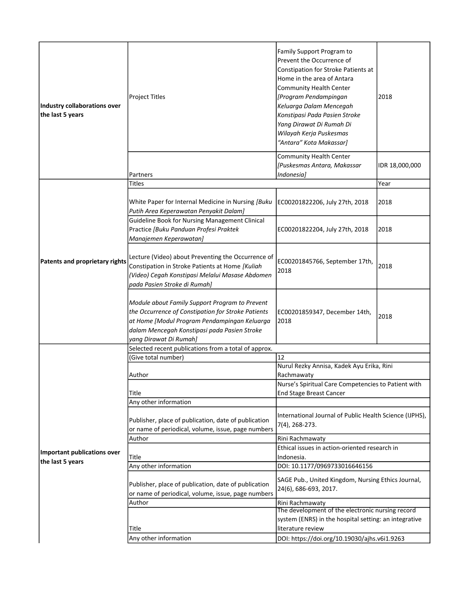| Industry collaborations over<br>the last 5 years | Project Titles                                                                                                                                                                                                                 | Family Support Program to<br>Prevent the Occurrence of<br>Constipation for Stroke Patients at<br>Home in the area of Antara<br><b>Community Health Center</b><br>[Program Pendampingan<br>Keluarga Dalam Mencegah<br>Konstipasi Pada Pasien Stroke<br>Yang Dirawat Di Rumah Di<br>Wilayah Kerja Puskesmas<br>"Antara" Kota Makassar] | 2018           |  |
|--------------------------------------------------|--------------------------------------------------------------------------------------------------------------------------------------------------------------------------------------------------------------------------------|--------------------------------------------------------------------------------------------------------------------------------------------------------------------------------------------------------------------------------------------------------------------------------------------------------------------------------------|----------------|--|
|                                                  | Partners                                                                                                                                                                                                                       | <b>Community Health Center</b><br>[Puskesmas Antara, Makassar<br>Indonesia]                                                                                                                                                                                                                                                          | IDR 18,000,000 |  |
|                                                  | Titles                                                                                                                                                                                                                         |                                                                                                                                                                                                                                                                                                                                      | Year           |  |
|                                                  | White Paper for Internal Medicine in Nursing [Buku<br>Putih Area Keperawatan Penyakit Dalam]                                                                                                                                   | EC00201822206, July 27th, 2018                                                                                                                                                                                                                                                                                                       | 2018           |  |
| Patents and proprietary rights                   | Guideline Book for Nursing Management Clinical<br>Practice [Buku Panduan Profesi Praktek<br>Manajemen Keperawatan]                                                                                                             | EC00201822204, July 27th, 2018                                                                                                                                                                                                                                                                                                       | 2018           |  |
|                                                  | Lecture (Video) about Preventing the Occurrence of<br>Constipation in Stroke Patients at Home [Kuliah<br>(Video) Cegah Konstipasi Melalui Masase Abdomen<br>pada Pasien Stroke di Rumah]                                       | EC00201845766, September 17th,<br>2018                                                                                                                                                                                                                                                                                               | 2018           |  |
|                                                  | Module about Family Support Program to Prevent<br>the Occurrence of Constipation for Stroke Patients<br>at Home [Modul Program Pendampingan Keluarga<br>dalam Mencegah Konstipasi pada Pasien Stroke<br>yang Dirawat Di Rumah] | EC00201859347, December 14th,<br>2018                                                                                                                                                                                                                                                                                                | 2018           |  |
|                                                  | Selected recent publications from a total of approx.                                                                                                                                                                           |                                                                                                                                                                                                                                                                                                                                      |                |  |
|                                                  | (Give total number)                                                                                                                                                                                                            | 12                                                                                                                                                                                                                                                                                                                                   |                |  |
|                                                  | Author                                                                                                                                                                                                                         | Nurul Rezky Annisa, Kadek Ayu Erika, Rini<br>Rachmawaty                                                                                                                                                                                                                                                                              |                |  |
|                                                  | Title                                                                                                                                                                                                                          | Nurse's Spiritual Care Competencies to Patient with<br><b>End Stage Breast Cancer</b>                                                                                                                                                                                                                                                |                |  |
|                                                  | Any other information                                                                                                                                                                                                          |                                                                                                                                                                                                                                                                                                                                      |                |  |
| Important publications over<br>the last 5 years  | Publisher, place of publication, date of publication<br>or name of periodical, volume, issue, page numbers                                                                                                                     | International Journal of Public Health Science (IJPHS),<br>7(4), 268-273.                                                                                                                                                                                                                                                            |                |  |
|                                                  | Author                                                                                                                                                                                                                         | Rini Rachmawaty                                                                                                                                                                                                                                                                                                                      |                |  |
|                                                  | Title                                                                                                                                                                                                                          | Ethical issues in action-oriented research in<br>Indonesia.                                                                                                                                                                                                                                                                          |                |  |
|                                                  | Any other information                                                                                                                                                                                                          | DOI: 10.1177/0969733016646156                                                                                                                                                                                                                                                                                                        |                |  |
|                                                  | Publisher, place of publication, date of publication<br>or name of periodical, volume, issue, page numbers                                                                                                                     | SAGE Pub., United Kingdom, Nursing Ethics Journal,<br>24(6), 686-693, 2017.                                                                                                                                                                                                                                                          |                |  |
|                                                  | Author                                                                                                                                                                                                                         | Rini Rachmawaty                                                                                                                                                                                                                                                                                                                      |                |  |
|                                                  | Title                                                                                                                                                                                                                          | The development of the electronic nursing record<br>system (ENRS) in the hospital setting: an integrative<br>literature review                                                                                                                                                                                                       |                |  |
|                                                  | Any other information                                                                                                                                                                                                          | DOI: https://doi.org/10.19030/ajhs.v6i1.9263                                                                                                                                                                                                                                                                                         |                |  |